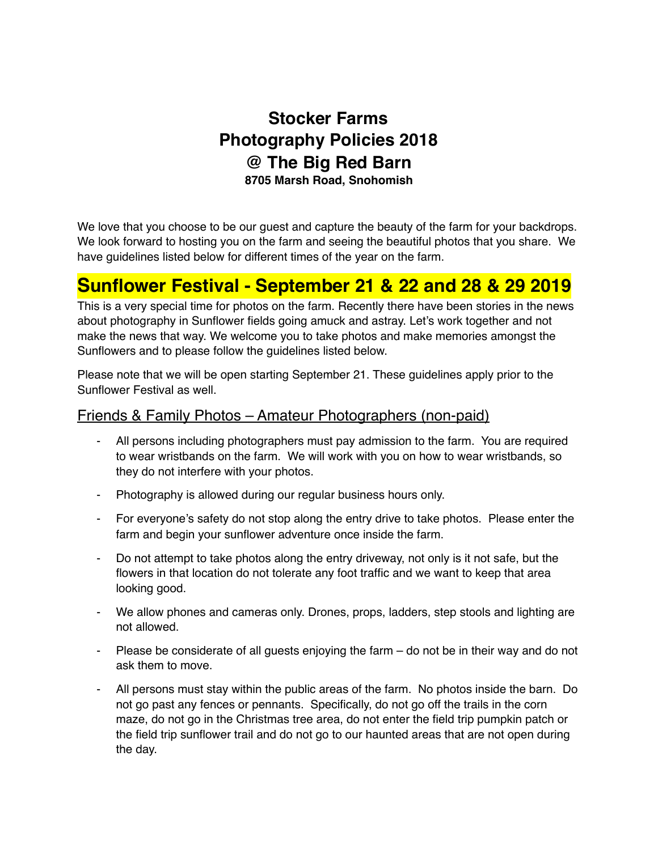### **Stocker Farms Photography Policies 2018 @ The Big Red Barn 8705 Marsh Road, Snohomish**

We love that you choose to be our guest and capture the beauty of the farm for your backdrops. We look forward to hosting you on the farm and seeing the beautiful photos that you share. We have guidelines listed below for different times of the year on the farm.

## **Sunflower Festival - September 21 & 22 and 28 & 29 2019**

This is a very special time for photos on the farm. Recently there have been stories in the news about photography in Sunflower fields going amuck and astray. Let's work together and not make the news that way. We welcome you to take photos and make memories amongst the Sunflowers and to please follow the guidelines listed below.

Please note that we will be open starting September 21. These guidelines apply prior to the Sunflower Festival as well.

#### Friends & Family Photos – Amateur Photographers (non-paid)

- All persons including photographers must pay admission to the farm. You are required to wear wristbands on the farm. We will work with you on how to wear wristbands, so they do not interfere with your photos.
- Photography is allowed during our regular business hours only.
- For everyone's safety do not stop along the entry drive to take photos. Please enter the farm and begin your sunflower adventure once inside the farm.
- Do not attempt to take photos along the entry driveway, not only is it not safe, but the flowers in that location do not tolerate any foot traffic and we want to keep that area looking good.
- We allow phones and cameras only. Drones, props, ladders, step stools and lighting are not allowed.
- Please be considerate of all guests enjoying the farm do not be in their way and do not ask them to move.
- All persons must stay within the public areas of the farm. No photos inside the barn. Do not go past any fences or pennants. Specifically, do not go off the trails in the corn maze, do not go in the Christmas tree area, do not enter the field trip pumpkin patch or the field trip sunflower trail and do not go to our haunted areas that are not open during the day.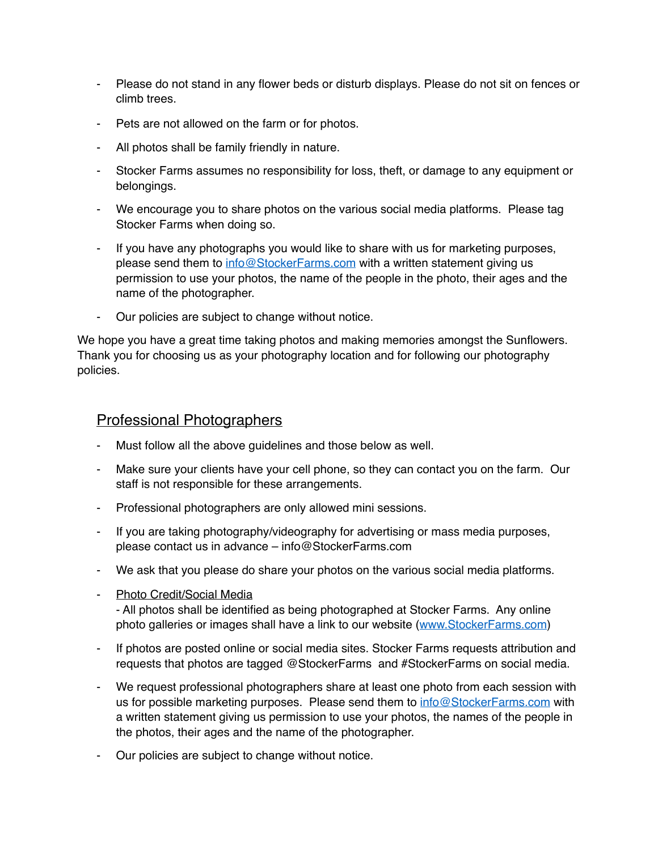- Please do not stand in any flower beds or disturb displays. Please do not sit on fences or climb trees.
- Pets are not allowed on the farm or for photos.
- All photos shall be family friendly in nature.
- Stocker Farms assumes no responsibility for loss, theft, or damage to any equipment or belongings.
- We encourage you to share photos on the various social media platforms. Please tag Stocker Farms when doing so.
- If you have any photographs you would like to share with us for marketing purposes, please send them to [info@StockerFarms.com](mailto:info@StockerFarms.com) with a written statement giving us permission to use your photos, the name of the people in the photo, their ages and the name of the photographer.
- Our policies are subject to change without notice.

We hope you have a great time taking photos and making memories amongst the Sunflowers. Thank you for choosing us as your photography location and for following our photography policies.

#### Professional Photographers

- Must follow all the above guidelines and those below as well.
- Make sure your clients have your cell phone, so they can contact you on the farm. Our staff is not responsible for these arrangements.
- Professional photographers are only allowed mini sessions.
- If you are taking photography/videography for advertising or mass media purposes, please contact us in advance – info@StockerFarms.com
- We ask that you please do share your photos on the various social media platforms.
- Photo Credit/Social Media

- All photos shall be identified as being photographed at Stocker Farms. Any online photo galleries or images shall have a link to our website [\(www.StockerFarms.com](http://www.StockerFarms.com))

- If photos are posted online or social media sites. Stocker Farms requests attribution and requests that photos are tagged @StockerFarms and #StockerFarms on social media.
- We request professional photographers share at least one photo from each session with us for possible marketing purposes. Please send them to [info@StockerFarms.com](mailto:info@StockerFarms.com) with a written statement giving us permission to use your photos, the names of the people in the photos, their ages and the name of the photographer.
- Our policies are subject to change without notice.